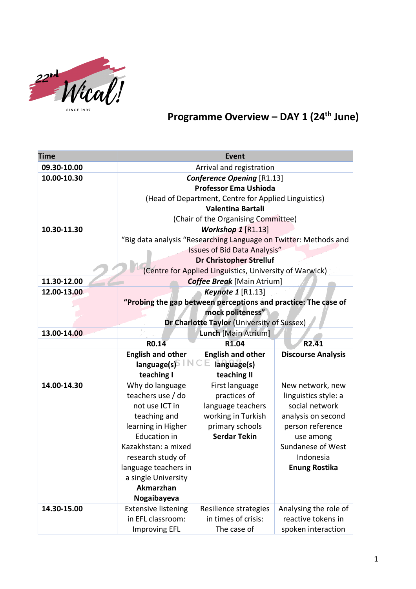

## **Programme Overview – DAY 1 (24th June)**

| <b>Time</b> | <b>Event</b>                                                     |                                                         |                           |  |
|-------------|------------------------------------------------------------------|---------------------------------------------------------|---------------------------|--|
| 09.30-10.00 | Arrival and registration                                         |                                                         |                           |  |
| 10.00-10.30 | <b>Conference Opening [R1.13]</b>                                |                                                         |                           |  |
|             | <b>Professor Ema Ushioda</b>                                     |                                                         |                           |  |
|             | (Head of Department, Centre for Applied Linguistics)             |                                                         |                           |  |
|             | Valentina Bartali                                                |                                                         |                           |  |
|             |                                                                  | (Chair of the Organising Committee)                     |                           |  |
| 10.30-11.30 | Workshop 1 [R1.13]                                               |                                                         |                           |  |
|             | "Big data analysis "Researching Language on Twitter: Methods and |                                                         |                           |  |
|             | <b>Issues of Bid Data Analysis"</b>                              |                                                         |                           |  |
|             | <b>Dr Christopher Strelluf</b>                                   |                                                         |                           |  |
|             |                                                                  | (Centre for Applied Linguistics, University of Warwick) |                           |  |
| 11.30-12.00 |                                                                  | <b>Coffee Break</b> [Main Atrium]                       |                           |  |
| 12.00-13.00 | <b>Keynote 1 [R1.13]</b>                                         |                                                         |                           |  |
|             | "Probing the gap between perceptions and practice: The case of   |                                                         |                           |  |
|             | mock politeness"                                                 |                                                         |                           |  |
|             |                                                                  | Dr Charlotte Taylor (University of Sussex)              |                           |  |
| 13.00-14.00 |                                                                  | Lunch [Main Atrium]                                     |                           |  |
|             | RO.14                                                            | R <sub>1.04</sub>                                       | R <sub>2.41</sub>         |  |
|             | <b>English and other</b>                                         | <b>English and other</b>                                | <b>Discourse Analysis</b> |  |
|             | language(s)<br>teaching I                                        | language(s)<br>teaching II                              |                           |  |
| 14.00-14.30 | Why do language                                                  | First language                                          | New network, new          |  |
|             | teachers use / do                                                | practices of                                            | linguistics style: a      |  |
|             | not use ICT in                                                   | language teachers                                       | social network            |  |
|             | teaching and                                                     | working in Turkish                                      | analysis on second        |  |
|             | learning in Higher                                               | primary schools                                         | person reference          |  |
|             | <b>Education in</b>                                              | <b>Serdar Tekin</b>                                     | use among                 |  |
|             | Kazakhstan: a mixed                                              |                                                         | Sundanese of West         |  |
|             | research study of                                                |                                                         | Indonesia                 |  |
|             | language teachers in                                             |                                                         | <b>Enung Rostika</b>      |  |
|             | a single University                                              |                                                         |                           |  |
|             | Akmarzhan                                                        |                                                         |                           |  |
|             | Nogaibayeva                                                      |                                                         |                           |  |
| 14.30-15.00 | <b>Extensive listening</b>                                       | Resilience strategies                                   | Analysing the role of     |  |
|             | in EFL classroom:                                                | in times of crisis:                                     | reactive tokens in        |  |
|             | <b>Improving EFL</b>                                             | The case of                                             | spoken interaction        |  |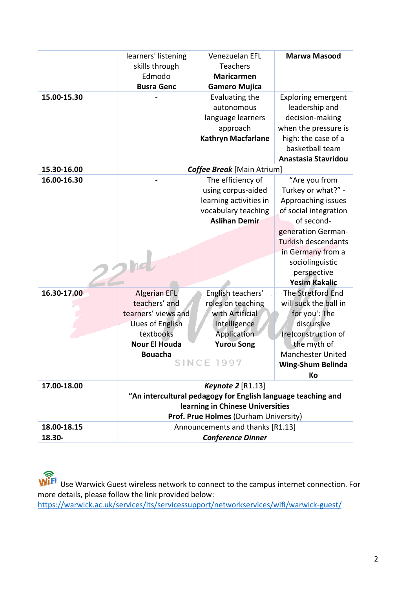|             | learners' listening                                          | Venezuelan EFL                    | <b>Marwa Masood</b>        |
|-------------|--------------------------------------------------------------|-----------------------------------|----------------------------|
|             | skills through                                               | <b>Teachers</b>                   |                            |
|             | Edmodo                                                       | <b>Maricarmen</b>                 |                            |
|             | <b>Busra Genc</b>                                            | <b>Gamero Mujica</b>              |                            |
| 15.00-15.30 |                                                              | Evaluating the                    | <b>Exploring emergent</b>  |
|             |                                                              | autonomous                        | leadership and             |
|             |                                                              | language learners                 | decision-making            |
|             |                                                              | approach                          | when the pressure is       |
|             |                                                              | <b>Kathryn Macfarlane</b>         | high: the case of a        |
|             |                                                              |                                   | basketball team            |
|             |                                                              |                                   | Anastasia Stavridou        |
| 15.30-16.00 |                                                              | <b>Coffee Break</b> [Main Atrium] |                            |
| 16.00-16.30 |                                                              | The efficiency of                 | "Are you from              |
|             |                                                              | using corpus-aided                | Turkey or what?" -         |
|             |                                                              | learning activities in            | Approaching issues         |
|             |                                                              | vocabulary teaching               | of social integration      |
|             |                                                              | <b>Aslihan Demir</b>              | of second-                 |
|             |                                                              |                                   | generation German-         |
|             |                                                              |                                   | <b>Turkish descendants</b> |
|             |                                                              |                                   | in Germany from a          |
|             |                                                              |                                   | sociolinguistic            |
|             |                                                              |                                   | perspective                |
|             |                                                              |                                   | <b>Yesim Kakalic</b>       |
| 16.30-17.00 | <b>Algerian EFL</b>                                          | English teachers'                 | The Stretford End          |
|             | teachers' and                                                | roles on teaching                 | will suck the ball in      |
|             | tearners' views and                                          | with Artificial                   | for you': The              |
|             | <b>Uues of English</b>                                       | Intelligence                      | discursive                 |
|             | textbooks                                                    | Application                       | (re)construction of        |
|             | <b>Nour El Houda</b>                                         | <b>Yurou Song</b>                 | the myth of                |
|             | <b>Bouacha</b>                                               | <b>SINCE 1997</b>                 | <b>Manchester United</b>   |
|             |                                                              |                                   | Wing-Shum Belinda          |
|             |                                                              |                                   | Кo                         |
| 17.00-18.00 | Keynote 2 [R1.13]                                            |                                   |                            |
|             | "An intercultural pedagogy for English language teaching and |                                   |                            |
|             | learning in Chinese Universities                             |                                   |                            |
|             | Prof. Prue Holmes (Durham University)                        |                                   |                            |
| 18.00-18.15 | Announcements and thanks [R1.13]                             |                                   |                            |
| 18.30-      | <b>Conference Dinner</b>                                     |                                   |                            |

Use Warwick Guest wireless network to connect to the campus internet connection. For more details, please follow the link provided below: https://warwick.ac.uk/services/its/servicessupport/networkservices/wifi/warwick-guest/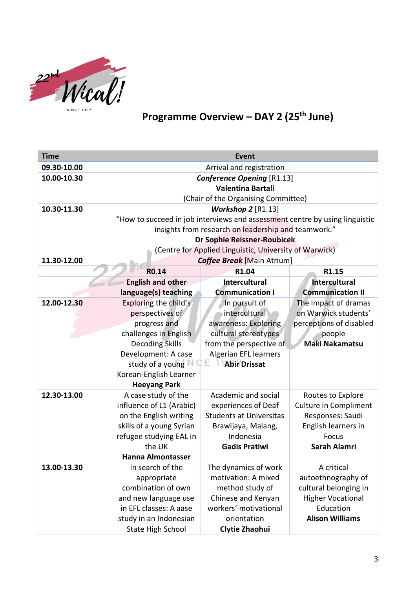

## **Programme Overview – DAY 2 (25th June)**

| 09.30-10.00<br>Arrival and registration<br>10.00-10.30<br><b>Conference Opening [R1.13]</b><br>Valentina Bartali<br>(Chair of the Organising Committee)<br>10.30-11.30<br><b>Workshop 2 [R1.13]</b><br>"How to succeed in job interviews and assessment centre by using linguistic<br>insights from research on leadership and teamwork."<br><b>Dr Sophie Reissner-Roubicek</b><br>(Centre for Applied Linguistic, University of Warwick)<br>11.30-12.00<br><b>Coffee Break</b> [Main Atrium]<br>R <sub>0.14</sub><br>R1.04<br>R1.15<br><b>English and other</b><br><b>Intercultural</b><br><b>Intercultural</b><br>language(s) teaching<br><b>Communication I</b><br><b>Communication II</b><br>12.00-12.30<br>Exploring the child's<br>In pursuit of<br>The impact of dramas<br>intercultural<br>perspectives of<br>on Warwick students'<br>progress and<br>awareness: Exploring<br>perceptions of disabled<br>challenges in English<br>cultural stereotypes<br>people<br><b>Maki Nakamatsu</b><br><b>Decoding Skills</b><br>from the perspective of<br>Development: A case<br><b>Algerian EFL learners</b><br>E.<br>study of a young $\mathbb N$<br><b>Abir Drissat</b><br>Korean-English Learner<br><b>Heeyang Park</b><br>12.30-13.00<br>A case study of the<br>Academic and social<br>Routes to Explore<br>influence of L1 (Arabic)<br><b>Culture in Compliment</b><br>experiences of Deaf<br>on the English writing<br><b>Students at Universitas</b><br>Responses: Saudi<br>skills of a young Syrian<br>English learners in<br>Brawijaya, Malang,<br>refugee studying EAL in<br>Indonesia<br><b>Focus</b><br>the UK<br><b>Sarah Alamri</b><br><b>Gadis Pratiwi</b><br><b>Hanna Almontasser</b><br>13.00-13.30<br>In search of the<br>A critical<br>The dynamics of work<br>motivation: A mixed<br>autoethnography of<br>appropriate<br>combination of own<br>method study of<br>cultural belonging in<br>and new language use<br>Chinese and Kenyan<br><b>Higher Vocational</b> | <b>Time</b> | <b>Event</b>           |                       |           |  |  |
|-----------------------------------------------------------------------------------------------------------------------------------------------------------------------------------------------------------------------------------------------------------------------------------------------------------------------------------------------------------------------------------------------------------------------------------------------------------------------------------------------------------------------------------------------------------------------------------------------------------------------------------------------------------------------------------------------------------------------------------------------------------------------------------------------------------------------------------------------------------------------------------------------------------------------------------------------------------------------------------------------------------------------------------------------------------------------------------------------------------------------------------------------------------------------------------------------------------------------------------------------------------------------------------------------------------------------------------------------------------------------------------------------------------------------------------------------------------------------------------------------------------------------------------------------------------------------------------------------------------------------------------------------------------------------------------------------------------------------------------------------------------------------------------------------------------------------------------------------------------------------------------------------------------------------------------------------------------------------------------------|-------------|------------------------|-----------------------|-----------|--|--|
|                                                                                                                                                                                                                                                                                                                                                                                                                                                                                                                                                                                                                                                                                                                                                                                                                                                                                                                                                                                                                                                                                                                                                                                                                                                                                                                                                                                                                                                                                                                                                                                                                                                                                                                                                                                                                                                                                                                                                                                         |             |                        |                       |           |  |  |
|                                                                                                                                                                                                                                                                                                                                                                                                                                                                                                                                                                                                                                                                                                                                                                                                                                                                                                                                                                                                                                                                                                                                                                                                                                                                                                                                                                                                                                                                                                                                                                                                                                                                                                                                                                                                                                                                                                                                                                                         |             |                        |                       |           |  |  |
|                                                                                                                                                                                                                                                                                                                                                                                                                                                                                                                                                                                                                                                                                                                                                                                                                                                                                                                                                                                                                                                                                                                                                                                                                                                                                                                                                                                                                                                                                                                                                                                                                                                                                                                                                                                                                                                                                                                                                                                         |             |                        |                       |           |  |  |
|                                                                                                                                                                                                                                                                                                                                                                                                                                                                                                                                                                                                                                                                                                                                                                                                                                                                                                                                                                                                                                                                                                                                                                                                                                                                                                                                                                                                                                                                                                                                                                                                                                                                                                                                                                                                                                                                                                                                                                                         |             |                        |                       |           |  |  |
|                                                                                                                                                                                                                                                                                                                                                                                                                                                                                                                                                                                                                                                                                                                                                                                                                                                                                                                                                                                                                                                                                                                                                                                                                                                                                                                                                                                                                                                                                                                                                                                                                                                                                                                                                                                                                                                                                                                                                                                         |             |                        |                       |           |  |  |
|                                                                                                                                                                                                                                                                                                                                                                                                                                                                                                                                                                                                                                                                                                                                                                                                                                                                                                                                                                                                                                                                                                                                                                                                                                                                                                                                                                                                                                                                                                                                                                                                                                                                                                                                                                                                                                                                                                                                                                                         |             |                        |                       |           |  |  |
|                                                                                                                                                                                                                                                                                                                                                                                                                                                                                                                                                                                                                                                                                                                                                                                                                                                                                                                                                                                                                                                                                                                                                                                                                                                                                                                                                                                                                                                                                                                                                                                                                                                                                                                                                                                                                                                                                                                                                                                         |             |                        |                       |           |  |  |
|                                                                                                                                                                                                                                                                                                                                                                                                                                                                                                                                                                                                                                                                                                                                                                                                                                                                                                                                                                                                                                                                                                                                                                                                                                                                                                                                                                                                                                                                                                                                                                                                                                                                                                                                                                                                                                                                                                                                                                                         |             |                        |                       |           |  |  |
|                                                                                                                                                                                                                                                                                                                                                                                                                                                                                                                                                                                                                                                                                                                                                                                                                                                                                                                                                                                                                                                                                                                                                                                                                                                                                                                                                                                                                                                                                                                                                                                                                                                                                                                                                                                                                                                                                                                                                                                         |             |                        |                       |           |  |  |
|                                                                                                                                                                                                                                                                                                                                                                                                                                                                                                                                                                                                                                                                                                                                                                                                                                                                                                                                                                                                                                                                                                                                                                                                                                                                                                                                                                                                                                                                                                                                                                                                                                                                                                                                                                                                                                                                                                                                                                                         |             |                        |                       |           |  |  |
|                                                                                                                                                                                                                                                                                                                                                                                                                                                                                                                                                                                                                                                                                                                                                                                                                                                                                                                                                                                                                                                                                                                                                                                                                                                                                                                                                                                                                                                                                                                                                                                                                                                                                                                                                                                                                                                                                                                                                                                         |             |                        |                       |           |  |  |
|                                                                                                                                                                                                                                                                                                                                                                                                                                                                                                                                                                                                                                                                                                                                                                                                                                                                                                                                                                                                                                                                                                                                                                                                                                                                                                                                                                                                                                                                                                                                                                                                                                                                                                                                                                                                                                                                                                                                                                                         |             |                        |                       |           |  |  |
|                                                                                                                                                                                                                                                                                                                                                                                                                                                                                                                                                                                                                                                                                                                                                                                                                                                                                                                                                                                                                                                                                                                                                                                                                                                                                                                                                                                                                                                                                                                                                                                                                                                                                                                                                                                                                                                                                                                                                                                         |             |                        |                       |           |  |  |
|                                                                                                                                                                                                                                                                                                                                                                                                                                                                                                                                                                                                                                                                                                                                                                                                                                                                                                                                                                                                                                                                                                                                                                                                                                                                                                                                                                                                                                                                                                                                                                                                                                                                                                                                                                                                                                                                                                                                                                                         |             |                        |                       |           |  |  |
|                                                                                                                                                                                                                                                                                                                                                                                                                                                                                                                                                                                                                                                                                                                                                                                                                                                                                                                                                                                                                                                                                                                                                                                                                                                                                                                                                                                                                                                                                                                                                                                                                                                                                                                                                                                                                                                                                                                                                                                         |             |                        |                       |           |  |  |
|                                                                                                                                                                                                                                                                                                                                                                                                                                                                                                                                                                                                                                                                                                                                                                                                                                                                                                                                                                                                                                                                                                                                                                                                                                                                                                                                                                                                                                                                                                                                                                                                                                                                                                                                                                                                                                                                                                                                                                                         |             |                        |                       |           |  |  |
|                                                                                                                                                                                                                                                                                                                                                                                                                                                                                                                                                                                                                                                                                                                                                                                                                                                                                                                                                                                                                                                                                                                                                                                                                                                                                                                                                                                                                                                                                                                                                                                                                                                                                                                                                                                                                                                                                                                                                                                         |             |                        |                       |           |  |  |
|                                                                                                                                                                                                                                                                                                                                                                                                                                                                                                                                                                                                                                                                                                                                                                                                                                                                                                                                                                                                                                                                                                                                                                                                                                                                                                                                                                                                                                                                                                                                                                                                                                                                                                                                                                                                                                                                                                                                                                                         |             |                        |                       |           |  |  |
|                                                                                                                                                                                                                                                                                                                                                                                                                                                                                                                                                                                                                                                                                                                                                                                                                                                                                                                                                                                                                                                                                                                                                                                                                                                                                                                                                                                                                                                                                                                                                                                                                                                                                                                                                                                                                                                                                                                                                                                         |             |                        |                       |           |  |  |
|                                                                                                                                                                                                                                                                                                                                                                                                                                                                                                                                                                                                                                                                                                                                                                                                                                                                                                                                                                                                                                                                                                                                                                                                                                                                                                                                                                                                                                                                                                                                                                                                                                                                                                                                                                                                                                                                                                                                                                                         |             |                        |                       |           |  |  |
|                                                                                                                                                                                                                                                                                                                                                                                                                                                                                                                                                                                                                                                                                                                                                                                                                                                                                                                                                                                                                                                                                                                                                                                                                                                                                                                                                                                                                                                                                                                                                                                                                                                                                                                                                                                                                                                                                                                                                                                         |             |                        |                       |           |  |  |
|                                                                                                                                                                                                                                                                                                                                                                                                                                                                                                                                                                                                                                                                                                                                                                                                                                                                                                                                                                                                                                                                                                                                                                                                                                                                                                                                                                                                                                                                                                                                                                                                                                                                                                                                                                                                                                                                                                                                                                                         |             |                        |                       |           |  |  |
|                                                                                                                                                                                                                                                                                                                                                                                                                                                                                                                                                                                                                                                                                                                                                                                                                                                                                                                                                                                                                                                                                                                                                                                                                                                                                                                                                                                                                                                                                                                                                                                                                                                                                                                                                                                                                                                                                                                                                                                         |             |                        |                       |           |  |  |
|                                                                                                                                                                                                                                                                                                                                                                                                                                                                                                                                                                                                                                                                                                                                                                                                                                                                                                                                                                                                                                                                                                                                                                                                                                                                                                                                                                                                                                                                                                                                                                                                                                                                                                                                                                                                                                                                                                                                                                                         |             |                        |                       |           |  |  |
|                                                                                                                                                                                                                                                                                                                                                                                                                                                                                                                                                                                                                                                                                                                                                                                                                                                                                                                                                                                                                                                                                                                                                                                                                                                                                                                                                                                                                                                                                                                                                                                                                                                                                                                                                                                                                                                                                                                                                                                         |             |                        |                       |           |  |  |
|                                                                                                                                                                                                                                                                                                                                                                                                                                                                                                                                                                                                                                                                                                                                                                                                                                                                                                                                                                                                                                                                                                                                                                                                                                                                                                                                                                                                                                                                                                                                                                                                                                                                                                                                                                                                                                                                                                                                                                                         |             |                        |                       |           |  |  |
|                                                                                                                                                                                                                                                                                                                                                                                                                                                                                                                                                                                                                                                                                                                                                                                                                                                                                                                                                                                                                                                                                                                                                                                                                                                                                                                                                                                                                                                                                                                                                                                                                                                                                                                                                                                                                                                                                                                                                                                         |             |                        |                       |           |  |  |
|                                                                                                                                                                                                                                                                                                                                                                                                                                                                                                                                                                                                                                                                                                                                                                                                                                                                                                                                                                                                                                                                                                                                                                                                                                                                                                                                                                                                                                                                                                                                                                                                                                                                                                                                                                                                                                                                                                                                                                                         |             |                        |                       |           |  |  |
|                                                                                                                                                                                                                                                                                                                                                                                                                                                                                                                                                                                                                                                                                                                                                                                                                                                                                                                                                                                                                                                                                                                                                                                                                                                                                                                                                                                                                                                                                                                                                                                                                                                                                                                                                                                                                                                                                                                                                                                         |             |                        |                       |           |  |  |
|                                                                                                                                                                                                                                                                                                                                                                                                                                                                                                                                                                                                                                                                                                                                                                                                                                                                                                                                                                                                                                                                                                                                                                                                                                                                                                                                                                                                                                                                                                                                                                                                                                                                                                                                                                                                                                                                                                                                                                                         |             |                        |                       |           |  |  |
|                                                                                                                                                                                                                                                                                                                                                                                                                                                                                                                                                                                                                                                                                                                                                                                                                                                                                                                                                                                                                                                                                                                                                                                                                                                                                                                                                                                                                                                                                                                                                                                                                                                                                                                                                                                                                                                                                                                                                                                         |             |                        |                       |           |  |  |
|                                                                                                                                                                                                                                                                                                                                                                                                                                                                                                                                                                                                                                                                                                                                                                                                                                                                                                                                                                                                                                                                                                                                                                                                                                                                                                                                                                                                                                                                                                                                                                                                                                                                                                                                                                                                                                                                                                                                                                                         |             |                        |                       |           |  |  |
|                                                                                                                                                                                                                                                                                                                                                                                                                                                                                                                                                                                                                                                                                                                                                                                                                                                                                                                                                                                                                                                                                                                                                                                                                                                                                                                                                                                                                                                                                                                                                                                                                                                                                                                                                                                                                                                                                                                                                                                         |             | in EFL classes: A aase | workers' motivational | Education |  |  |
| <b>Alison Williams</b><br>study in an Indonesian<br>orientation                                                                                                                                                                                                                                                                                                                                                                                                                                                                                                                                                                                                                                                                                                                                                                                                                                                                                                                                                                                                                                                                                                                                                                                                                                                                                                                                                                                                                                                                                                                                                                                                                                                                                                                                                                                                                                                                                                                         |             |                        |                       |           |  |  |
| <b>State High School</b><br>Clytie Zhaohui                                                                                                                                                                                                                                                                                                                                                                                                                                                                                                                                                                                                                                                                                                                                                                                                                                                                                                                                                                                                                                                                                                                                                                                                                                                                                                                                                                                                                                                                                                                                                                                                                                                                                                                                                                                                                                                                                                                                              |             |                        |                       |           |  |  |